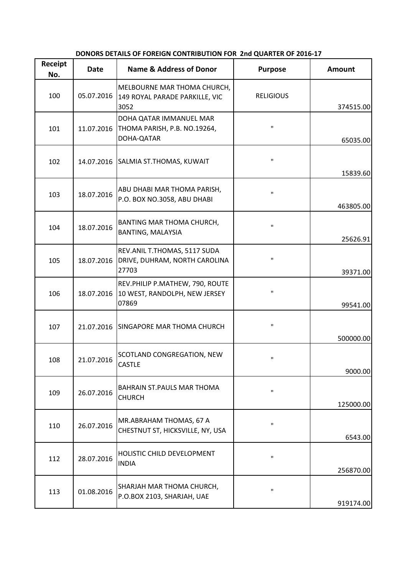| Receipt<br>No. | Date       | <b>Name &amp; Address of Donor</b>                                        | <b>Purpose</b>   | <b>Amount</b> |
|----------------|------------|---------------------------------------------------------------------------|------------------|---------------|
| 100            | 05.07.2016 | MELBOURNE MAR THOMA CHURCH,<br>149 ROYAL PARADE PARKILLE, VIC<br>3052     | <b>RELIGIOUS</b> | 374515.00     |
| 101            | 11.07.2016 | DOHA QATAR IMMANUEL MAR<br>THOMA PARISH, P.B. NO.19264,<br>DOHA-QATAR     | $\mathbf H$      | 65035.00      |
| 102            |            | 14.07.2016 SALMIA ST.THOMAS, KUWAIT                                       | $\mathbf H$      | 15839.60      |
| 103            | 18.07.2016 | ABU DHABI MAR THOMA PARISH,<br>P.O. BOX NO.3058, ABU DHABI                | $\mathbf{H}$     | 463805.00     |
| 104            | 18.07.2016 | BANTING MAR THOMA CHURCH,<br><b>BANTING, MALAYSIA</b>                     | H.               | 25626.91      |
| 105            | 18.07.2016 | REV.ANIL T.THOMAS, 5117 SUDA<br>DRIVE, DUHRAM, NORTH CAROLINA<br>27703    | п                | 39371.00      |
| 106            | 18.07.2016 | REV.PHILIP P.MATHEW, 790, ROUTE<br>10 WEST, RANDOLPH, NEW JERSEY<br>07869 | п                | 99541.00      |
| 107            |            | 21.07.2016 SINGAPORE MAR THOMA CHURCH                                     | п                | 500000.00     |
| 108            | 21.07.2016 | SCOTLAND CONGREGATION, NEW<br>CASTLE                                      | п                | 9000.00       |
| 109            | 26.07.2016 | BAHRAIN ST. PAULS MAR THOMA<br><b>CHURCH</b>                              | п                | 125000.00     |
| 110            | 26.07.2016 | MR.ABRAHAM THOMAS, 67 A<br>CHESTNUT ST, HICKSVILLE, NY, USA               | $\mathbf H$      | 6543.00       |
| 112            | 28.07.2016 | HOLISTIC CHILD DEVELOPMENT<br><b>INDIA</b>                                | $\mathbf{H}$     | 256870.00     |
| 113            | 01.08.2016 | SHARJAH MAR THOMA CHURCH,<br>P.O.BOX 2103, SHARJAH, UAE                   | п                | 919174.00     |

## **DONORS DETAILS OF FOREIGN CONTRIBUTION FOR 2nd QUARTER OF 2016-17**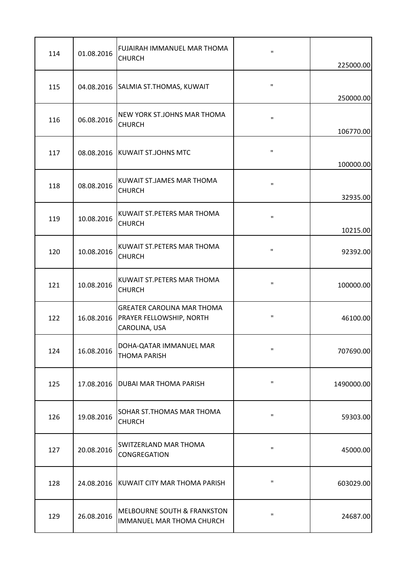| 114 | 01.08.2016 | FUJAIRAH IMMANUEL MAR THOMA<br><b>CHURCH</b>                                              | $\mathbf H$  | 225000.00            |
|-----|------------|-------------------------------------------------------------------------------------------|--------------|----------------------|
| 115 |            | 04.08.2016 SALMIA ST.THOMAS, KUWAIT                                                       | $\mathbf{H}$ | 250000.00            |
| 116 | 06.08.2016 | NEW YORK ST.JOHNS MAR THOMA<br><b>CHURCH</b>                                              | $\mathbf{H}$ | 106770.00            |
| 117 |            | 08.08.2016 KUWAIT ST.JOHNS MTC                                                            | $\mathbf H$  | 100000.00            |
| 118 | 08.08.2016 | KUWAIT ST.JAMES MAR THOMA<br><b>CHURCH</b>                                                | $\mathbf{H}$ | 32935.00             |
| 119 | 10.08.2016 | KUWAIT ST. PETERS MAR THOMA<br><b>CHURCH</b>                                              | $\mathbf{H}$ |                      |
| 120 | 10.08.2016 | KUWAIT ST. PETERS MAR THOMA<br><b>CHURCH</b>                                              | $\mathbf H$  | 10215.00<br>92392.00 |
| 121 | 10.08.2016 | KUWAIT ST. PETERS MAR THOMA<br><b>CHURCH</b>                                              | $\mathbf{H}$ | 100000.00            |
| 122 |            | <b>GREATER CAROLINA MAR THOMA</b><br>16.08.2016 PRAYER FELLOWSHIP, NORTH<br>CAROLINA, USA | $\mathbf{H}$ | 46100.00             |
| 124 | 16.08.2016 | DOHA-QATAR IMMANUEL MAR<br><b>THOMA PARISH</b>                                            | $\mathbf{H}$ | 707690.00            |
| 125 |            | 17.08.2016   DUBAI MAR THOMA PARISH                                                       | $\mathbf{H}$ | 1490000.00           |
| 126 | 19.08.2016 | <b>SOHAR ST. THOMAS MAR THOMA</b><br><b>CHURCH</b>                                        | $\mathbf{H}$ | 59303.00             |
| 127 | 20.08.2016 | <b>SWITZERLAND MAR THOMA</b><br>CONGREGATION                                              | $\mathbf{H}$ | 45000.00             |
| 128 |            | 24.08.2016 KUWAIT CITY MAR THOMA PARISH                                                   | $\mathbf{H}$ | 603029.00            |
| 129 | 26.08.2016 | <b>MELBOURNE SOUTH &amp; FRANKSTON</b><br>IMMANUEL MAR THOMA CHURCH                       | $\mathbf{H}$ | 24687.00             |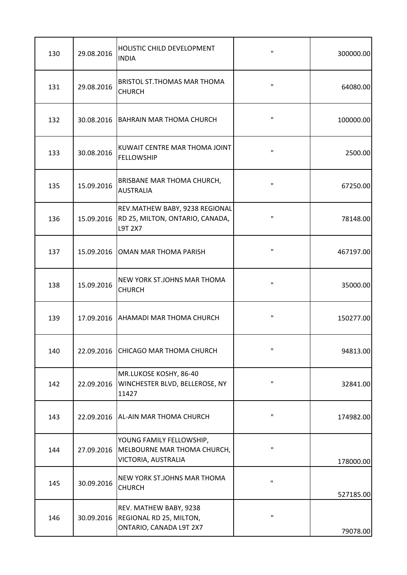| 130 | 29.08.2016 | HOLISTIC CHILD DEVELOPMENT<br><b>INDIA</b>                                          | $\mathbf{H}$ | 300000.00 |
|-----|------------|-------------------------------------------------------------------------------------|--------------|-----------|
| 131 | 29.08.2016 | BRISTOL ST. THOMAS MAR THOMA<br><b>CHURCH</b>                                       | $\mathbf H$  | 64080.00  |
| 132 | 30.08.2016 | <b>BAHRAIN MAR THOMA CHURCH</b>                                                     | $\mathbf{H}$ | 100000.00 |
| 133 | 30.08.2016 | KUWAIT CENTRE MAR THOMA JOINT<br><b>FELLOWSHIP</b>                                  | П            | 2500.00   |
| 135 | 15.09.2016 | BRISBANE MAR THOMA CHURCH,<br><b>AUSTRALIA</b>                                      | п            | 67250.00  |
| 136 | 15.09.2016 | REV.MATHEW BABY, 9238 REGIONAL<br>RD 25, MILTON, ONTARIO, CANADA,<br><b>L9T 2X7</b> | $\mathbf{H}$ | 78148.00  |
| 137 | 15.09.2016 | OMAN MAR THOMA PARISH                                                               | $\mathbf{H}$ | 467197.00 |
| 138 | 15.09.2016 | NEW YORK ST.JOHNS MAR THOMA<br><b>CHURCH</b>                                        | $\mathbf{H}$ | 35000.00  |
| 139 |            | 17.09.2016   AHAMADI MAR THOMA CHURCH                                               | $\mathbf{H}$ | 150277.00 |
| 140 |            | 22.09.2016 CHICAGO MAR THOMA CHURCH                                                 | $\mathbf{H}$ | 94813.00  |
| 142 | 22.09.2016 | MR.LUKOSE KOSHY, 86-40<br>WINCHESTER BLVD, BELLEROSE, NY<br>11427                   | $\mathbf{u}$ | 32841.00  |
| 143 |            | 22.09.2016   AL-AIN MAR THOMA CHURCH                                                | $\mathbf{H}$ | 174982.00 |
| 144 | 27.09.2016 | YOUNG FAMILY FELLOWSHIP,<br>MELBOURNE MAR THOMA CHURCH,<br>VICTORIA, AUSTRALIA      | $\mathbf{H}$ | 178000.00 |
| 145 | 30.09.2016 | NEW YORK ST.JOHNS MAR THOMA<br><b>CHURCH</b>                                        | $\mathbf{H}$ | 527185.00 |
| 146 | 30.09.2016 | REV. MATHEW BABY, 9238<br>REGIONAL RD 25, MILTON,<br>ONTARIO, CANADA L9T 2X7        | $\mathbf H$  | 79078.00  |